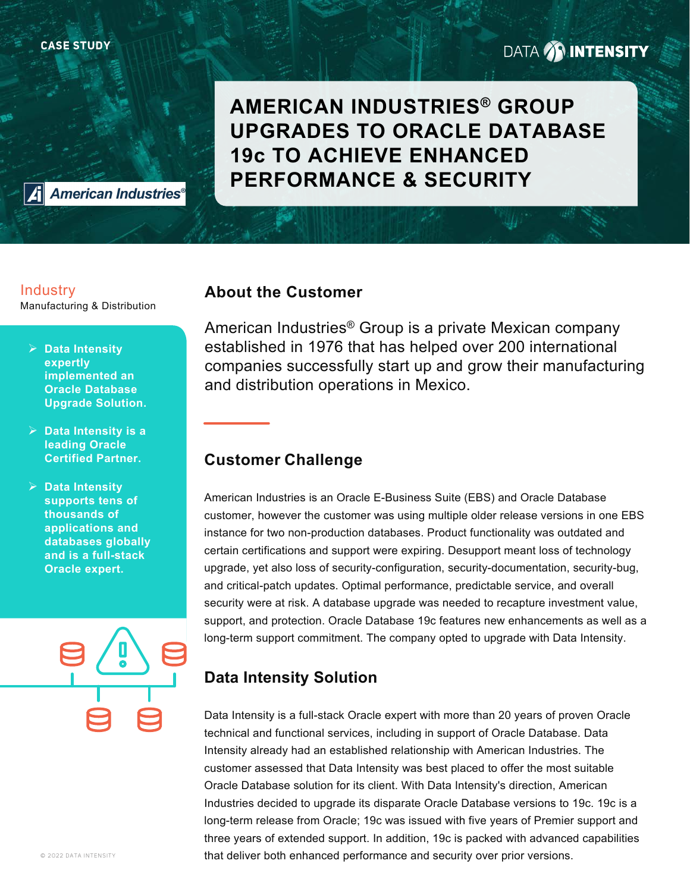# **DATA AN INTENSITY**

**AMERICAN INDUSTRIES® GROUP UPGRADES TO ORACLE DATABASE 19c TO ACHIEVE ENHANCED PERFORMANCE & SECURITY**

**American Industries®** 

### **Industry**

Manufacturing & Distribution

- **Data Intensity expertly implemented an Oracle Database Upgrade Solution.**
- **Data Intensity is a leading Oracle Certified Partner.**
- **Data Intensity supports tens of thousands of applications and databases globally and is a full-stack Oracle expert.**

**About the Customer**

American Industries® Group is a private Mexican company established in 1976 that has helped over 200 international companies successfully start up and grow their manufacturing and distribution operations in Mexico.

### **Customer Challenge**

American Industries is an Oracle E-Business Suite (EBS) and Oracle Database customer, however the customer was using multiple older release versions in one EBS instance for two non-production databases. Product functionality was outdated and certain certifications and support were expiring. Desupport meant loss of technology upgrade, yet also loss of security-configuration, security-documentation, security-bug, and critical-patch updates. Optimal performance, predictable service, and overall security were at risk. A database upgrade was needed to recapture investment value, support, and protection. Oracle Database 19c features new enhancements as well as a long-term support commitment. The company opted to upgrade with Data Intensity.

# **Data Intensity Solution**

Data Intensity is a full-stack Oracle expert with more than 20 years of proven Oracle technical and functional services, including in support of Oracle Database. Data Intensity already had an established relationship with American Industries. The customer assessed that Data Intensity was best placed to offer the most suitable Oracle Database solution for its client. With Data Intensity's direction, American Industries decided to upgrade its disparate Oracle Database versions to 19c. 19c is a long-term release from Oracle; 19c was issued with five years of Premier support and three years of extended support. In addition, 19c is packed with advanced capabilities that deliver both enhanced performance and security over prior versions.